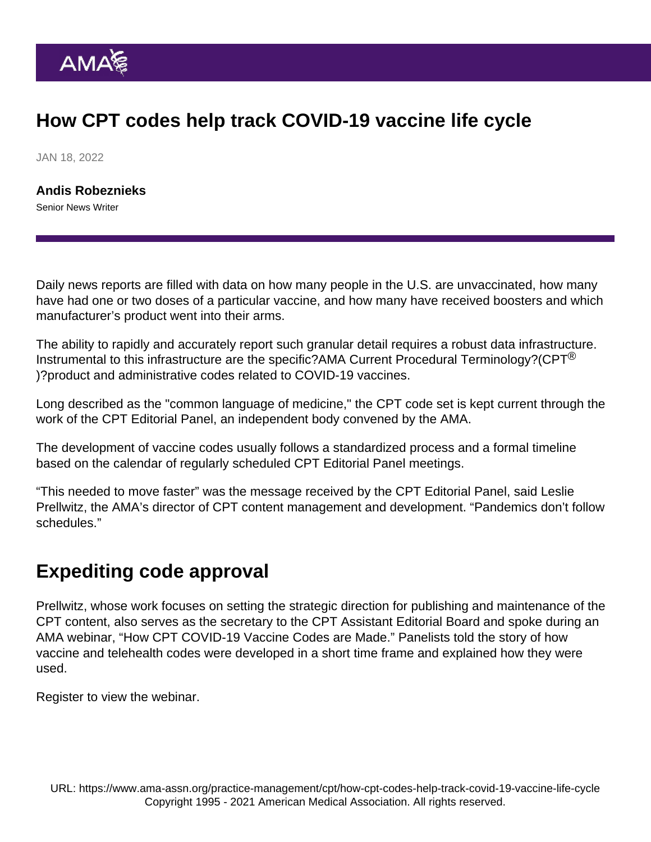## How CPT codes help track COVID-19 vaccine life cycle

JAN 18, 2022

[Andis Robeznieks](https://www.ama-assn.org/news-leadership-viewpoints/authors-news-leadership-viewpoints/andis-robeznieks) Senior News Writer

Daily news reports are filled with data on how many people in the U.S. are unvaccinated, how many have had one or two doses of a particular vaccine, and how many have received boosters and which manufacturer's product went into their arms.

The ability to rapidly and accurately report such granular detail requires a robust data infrastructure. Instrumental to this infrastructure are the specific[?AMA Current Procedural Terminology?](https://www.ama-assn.org/amaone/cpt-current-procedural-terminology)(CPT<sup>®</sup> )?product and administrative codes related to COVID-19 vaccines.

Long described as the "common language of medicine," the CPT code set is kept current through the work of the [CPT Editorial Panel,](https://www.ama-assn.org/about/cpt-editorial-panel/cpt-panel-meetings-overview) an independent body convened by the AMA.

The development of vaccine codes usually follows a standardized process and a formal timeline based on the calendar of regularly scheduled [CPT Editorial Panel meetings.](https://www.ama-assn.org/about/cpt-editorial-panel/cpt-editorial-panel-meeting-process-calendar)

"This needed to move faster" was the message received by the CPT Editorial Panel, said Leslie Prellwitz, the AMA's director of CPT content management and development. "Pandemics don't follow schedules."

## Expediting code approval

Prellwitz, whose work focuses on setting the strategic direction for publishing and maintenance of the CPT content, also serves as the secretary to the CPT Assistant Editorial Board and spoke during an AMA webinar, "How CPT COVID-19 Vaccine Codes are Made." Panelists told the story of how vaccine and telehealth codes were developed in a short time frame and explained how they were used.

[Register](https://onlinexperiences.com/scripts/Server.nxp?LASCmd=AI:4;F:QS!10100&ShowKey=174117&Referrer=https://onlinexperiences.com/scripts/Server.nxp?LASCmd=L:0&AI=1&ShowKey=174117&LoginType=0&InitialDisplay=1&ClientBrowser=0&DisplayItem=NULL&LangLocaleID=0&SSO=1&RFR=https://onlinexperiences.com/Launch/Event.htm?ShowKey=174117) to view the webinar.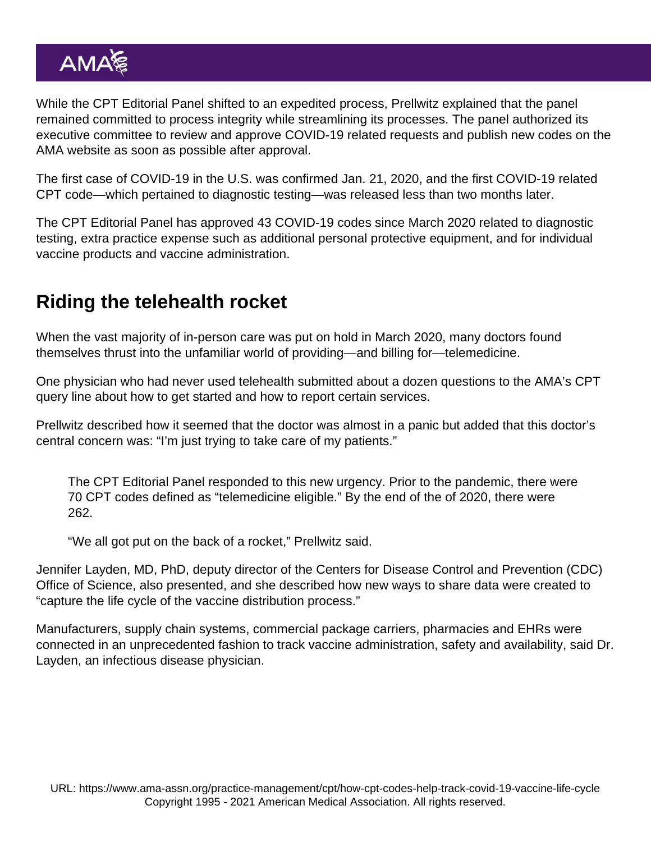While the CPT Editorial Panel shifted to an expedited process, Prellwitz explained that the panel remained committed to process integrity while streamlining its processes. The panel authorized its executive committee to review and approve COVID-19 related requests and publish new codes on the AMA website as soon as possible after approval.

The first case of COVID-19 in the U.S. was confirmed Jan. 21, 2020, and the first COVID-19 related CPT code—which pertained to diagnostic testing—was released less than two months later.

The CPT Editorial Panel has approved 43 [COVID-19 codes](https://www.ama-assn.org/practice-management/cpt/covid-19-cpt-vaccine-and-immunization-codes) since March 2020 related to diagnostic testing, extra practice expense such as additional personal protective equipment, and for individual vaccine products and vaccine administration.

## Riding the telehealth rocket

When the vast majority of in-person care was put on hold in March 2020, many doctors found themselves thrust into the unfamiliar world of providing—and billing for—telemedicine.

One physician who had never used telehealth submitted about a dozen questions to the AMA's CPT query line about how to get started and how to report certain services.

Prellwitz described how it seemed that the doctor was almost in a panic but added that this doctor's central concern was: "I'm just trying to take care of my patients."

The CPT Editorial Panel responded to this new urgency. Prior to the pandemic, there were 70 CPT codes defined as "telemedicine eligible." By the end of the of 2020, there were 262.

"We all got put on the back of a rocket," Prellwitz said.

Jennifer Layden, MD, PhD, deputy director of the Centers for Disease Control and Prevention (CDC) Office of Science, also presented, and she described how new ways to share data were created to "capture the life cycle of the vaccine distribution process."

Manufacturers, supply chain systems, commercial package carriers, pharmacies and EHRs were connected in an unprecedented fashion to track vaccine administration, safety and availability, said Dr. Layden, an infectious disease physician.